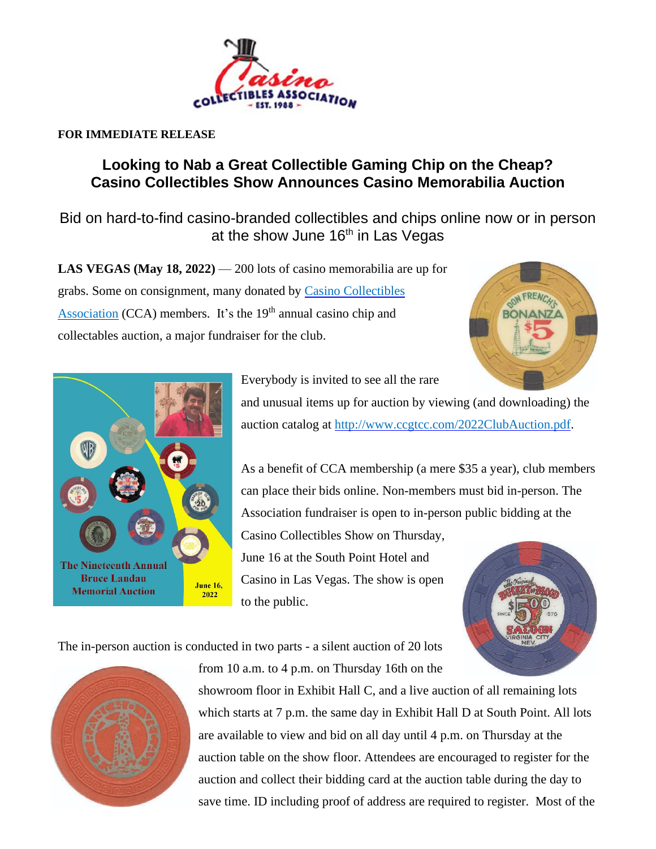

## **FOR IMMEDIATE RELEASE**

## **Looking to Nab a Great Collectible Gaming Chip on the Cheap? Casino Collectibles Show Announces Casino Memorabilia Auction**

*Bid on hard-to-find casino-branded collectibles and chips online now or in person at the show June 16 th in Las Vegas*

**LAS VEGAS (May 18, 2022)** — 200 lots of casino memorabilia are up for grabs. Some on consignment, many donated by Casino [Collectibles](http://www.ccgtcc.com/) [Association](http://www.ccgtcc.com/) (CCA) members. It's the 19<sup>th</sup> annual casino chip and collectables auction, a major fundraiser for the club.





Everybody is invited to see all the rare

and unusual items up for auction by viewing (and downloading) the auction catalog at [http://www.ccgtcc.com/2022ClubAuction.pdf.](http://www.ccgtcc.com/2022ClubAuction.pdf)

As a benefit of CCA membership (a mere \$35 a year), club members can place their bids online. Non-members must bid in-person. The Association fundraiser is open to in-person public bidding at the

Casino Collectibles Show on Thursday, June 16 at the South Point Hotel and Casino in Las Vegas. The show is open to the public.



The in-person auction is conducted in two parts - a silent auction of 20 lots



from 10 a.m. to 4 p.m. on Thursday 16th on the

showroom floor in Exhibit Hall C, and a live auction of all remaining lots which starts at 7 p.m. the same day in Exhibit Hall D at South Point. All lots are available to view and bid on all day until 4 p.m. on Thursday at the auction table on the show floor. Attendees are encouraged to register for the auction and collect their bidding card at the auction table during the day to save time. ID including proof of address are required to register. Most of the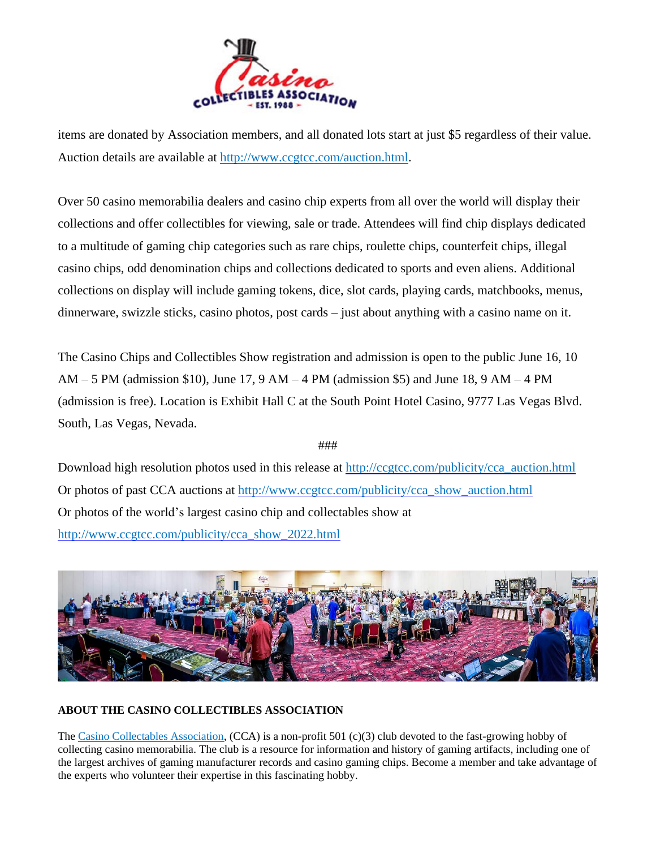

items are donated by Association members, and all donated lots start at just \$5 regardless of their value. Auction details are available at [http://www.ccgtcc.com/auction.html.](http://www.ccgtcc.com/auction.html)

Over 50 casino memorabilia dealers and casino chip experts from all over the world will display their collections and offer collectibles for viewing, sale or trade. Attendees will find chip displays dedicated to a multitude of gaming chip categories such as rare chips, roulette chips, counterfeit chips, illegal casino chips, odd denomination chips and collections dedicated to sports and even aliens. Additional collections on display will include gaming tokens, dice, slot cards, playing cards, matchbooks, menus, dinnerware, swizzle sticks, casino photos, post cards – just about anything with a casino name on it.

The Casino Chips and Collectibles Show registration and admission is open to the public June 16, 10  $AM - 5 PM$  (admission \$10), June 17, 9 AM  $-4 PM$  (admission \$5) and June 18, 9 AM  $-4 PM$ (admission is free). Location is Exhibit Hall C at the South Point Hotel Casino, 9777 Las Vegas Blvd. South, Las Vegas, Nevada.

###

Download high resolution photos used in this release at [http://ccgtcc.com/publicity/cca\\_auction.html](http://ccgtcc.com/publicity/cca_auction.html) Or photos of past CCA auctions at [http://www.ccgtcc.com/publicity/cca\\_show\\_auction.html](http://www.ccgtcc.com/publicity/cca_show_auction.html) Or photos of the world's largest casino chip and collectables show at [http://www.ccgtcc.com/publicity/cca\\_show\\_2022.html](http://www.ccgtcc.com/publicity/cca_show_2022.html)



## **ABOUT THE CASINO COLLECTIBLES ASSOCIATION**

The [Casino Collectables Association,](http://www.ccgtcc.com/index.html) (CCA) is a non-profit 501 (c)(3) club devoted to the fast-growing hobby of collecting casino memorabilia. The club is a resource for information and history of gaming artifacts, including one of the largest archives of gaming manufacturer records and casino gaming chips. Become a member and take advantage of the experts who volunteer their expertise in this fascinating hobby.